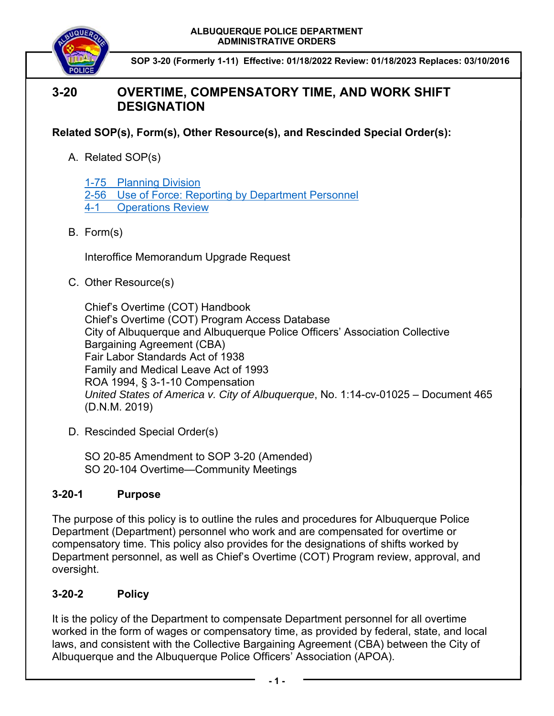

**SOP 3-20 (Formerly 1-11) Effective: 01/18/2022 Review: 01/18/2023 Replaces: 03/10/2016**

# **3-20 OVERTIME, COMPENSATORY TIME, AND WORK SHIFT DESIGNATION**

**Related SOP(s), Form(s), Other Resource(s), and Rescinded Special Order(s):** 

A. Related SOP(s)

1-75 Planning Division 2-56 Use of Force: Reporting by Department Personnel 4-1 Operations Review

B. Form(s)

Interoffice Memorandum Upgrade Request

C. Other Resource(s)

Chief's Overtime (COT) Handbook Chief's Overtime (COT) Program Access Database City of Albuquerque and Albuquerque Police Officers' Association Collective Bargaining Agreement (CBA) Fair Labor Standards Act of 1938 Family and Medical Leave Act of 1993 ROA 1994, § 3-1-10 Compensation *United States of America v. City of Albuquerque*, No. 1:14-cv-01025 – Document 465 (D.N.M. 2019)

D. Rescinded Special Order(s)

SO 20-85 Amendment to SOP 3-20 (Amended) SO 20-104 Overtime—Community Meetings

## **3-20-1 Purpose**

The purpose of this policy is to outline the rules and procedures for Albuquerque Police Department (Department) personnel who work and are compensated for overtime or compensatory time. This policy also provides for the designations of shifts worked by Department personnel, as well as Chief's Overtime (COT) Program review, approval, and oversight.

# **3-20-2 Policy**

It is the policy of the Department to compensate Department personnel for all overtime worked in the form of wages or compensatory time, as provided by federal, state, and local laws, and consistent with the Collective Bargaining Agreement (CBA) between the City of Albuquerque and the Albuquerque Police Officers' Association (APOA).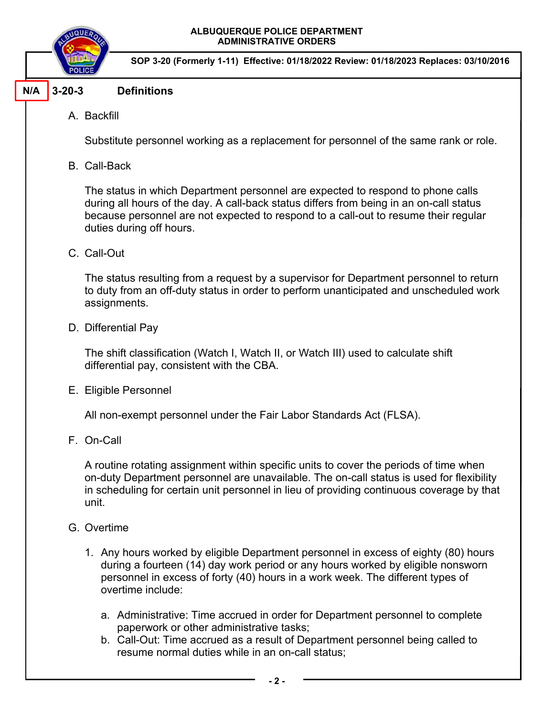

**SOP 3-20 (Formerly 1-11) Effective: 01/18/2022 Review: 01/18/2023 Replaces: 03/10/2016**

#### **3-20-3 Definitions N/A**

A. Backfill

Substitute personnel working as a replacement for personnel of the same rank or role.

B. Call-Back

The status in which Department personnel are expected to respond to phone calls during all hours of the day. A call-back status differs from being in an on-call status because personnel are not expected to respond to a call-out to resume their regular duties during off hours.

C. Call-Out

The status resulting from a request by a supervisor for Department personnel to return to duty from an off-duty status in order to perform unanticipated and unscheduled work assignments.

D. Differential Pay

The shift classification (Watch I, Watch II, or Watch III) used to calculate shift differential pay, consistent with the CBA.

E. Eligible Personnel

All non-exempt personnel under the Fair Labor Standards Act (FLSA).

F. On-Call

A routine rotating assignment within specific units to cover the periods of time when on-duty Department personnel are unavailable. The on-call status is used for flexibility in scheduling for certain unit personnel in lieu of providing continuous coverage by that unit.

- G. Overtime
	- 1. Any hours worked by eligible Department personnel in excess of eighty (80) hours during a fourteen (14) day work period or any hours worked by eligible nonsworn personnel in excess of forty (40) hours in a work week. The different types of overtime include:
		- a. Administrative: Time accrued in order for Department personnel to complete paperwork or other administrative tasks;
		- b. Call-Out: Time accrued as a result of Department personnel being called to resume normal duties while in an on-call status;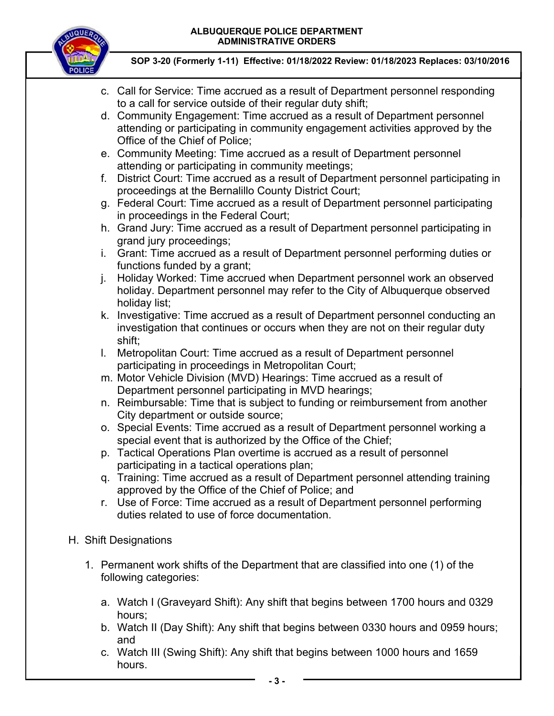

- c. Call for Service: Time accrued as a result of Department personnel responding to a call for service outside of their regular duty shift;
- d. Community Engagement: Time accrued as a result of Department personnel attending or participating in community engagement activities approved by the Office of the Chief of Police;
- e. Community Meeting: Time accrued as a result of Department personnel attending or participating in community meetings;
- f. District Court: Time accrued as a result of Department personnel participating in proceedings at the Bernalillo County District Court;
- g. Federal Court: Time accrued as a result of Department personnel participating in proceedings in the Federal Court;
- h. Grand Jury: Time accrued as a result of Department personnel participating in grand jury proceedings;
- i. Grant: Time accrued as a result of Department personnel performing duties or functions funded by a grant;
- j. Holiday Worked: Time accrued when Department personnel work an observed holiday. Department personnel may refer to the City of Albuquerque observed holiday list;
- k. Investigative: Time accrued as a result of Department personnel conducting an investigation that continues or occurs when they are not on their regular duty shift;
- l. Metropolitan Court: Time accrued as a result of Department personnel participating in proceedings in Metropolitan Court;
- m. Motor Vehicle Division (MVD) Hearings: Time accrued as a result of Department personnel participating in MVD hearings;
- n. Reimbursable: Time that is subject to funding or reimbursement from another City department or outside source;
- o. Special Events: Time accrued as a result of Department personnel working a special event that is authorized by the Office of the Chief;
- p. Tactical Operations Plan overtime is accrued as a result of personnel participating in a tactical operations plan;
- q. Training: Time accrued as a result of Department personnel attending training approved by the Office of the Chief of Police; and
- r. Use of Force: Time accrued as a result of Department personnel performing duties related to use of force documentation.
- H. Shift Designations
	- 1. Permanent work shifts of the Department that are classified into one (1) of the following categories:
		- a. Watch I (Graveyard Shift): Any shift that begins between 1700 hours and 0329 hours;
		- b. Watch II (Day Shift): Any shift that begins between 0330 hours and 0959 hours; and
		- c. Watch III (Swing Shift): Any shift that begins between 1000 hours and 1659 hours.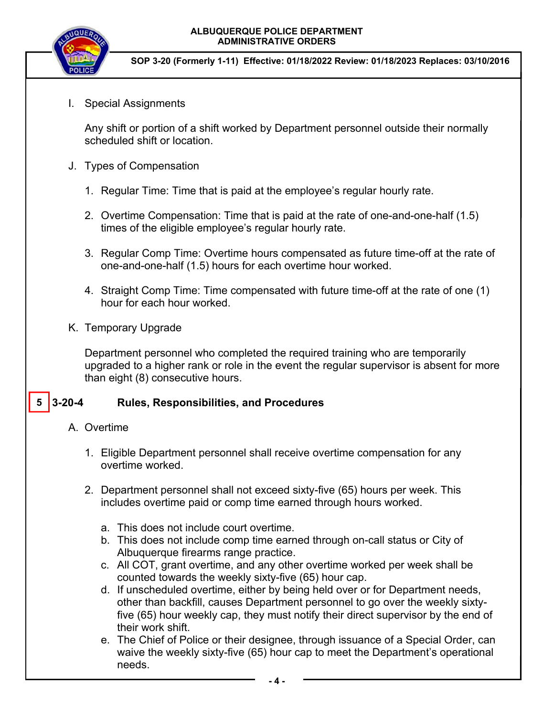

**SOP 3-20 (Formerly 1-11) Effective: 01/18/2022 Review: 01/18/2023 Replaces: 03/10/2016**

I. Special Assignments

Any shift or portion of a shift worked by Department personnel outside their normally scheduled shift or location.

- J. Types of Compensation
	- 1. Regular Time: Time that is paid at the employee's regular hourly rate.
	- 2. Overtime Compensation: Time that is paid at the rate of one-and-one-half (1.5) times of the eligible employee's regular hourly rate.
	- 3. Regular Comp Time: Overtime hours compensated as future time-off at the rate of one-and-one-half (1.5) hours for each overtime hour worked.
	- 4. Straight Comp Time: Time compensated with future time-off at the rate of one (1) hour for each hour worked.
- K. Temporary Upgrade

Department personnel who completed the required training who are temporarily upgraded to a higher rank or role in the event the regular supervisor is absent for more than eight (8) consecutive hours.

#### **3-20-4 Rules, Responsibilities, and Procedures 5**

- A. Overtime
	- 1. Eligible Department personnel shall receive overtime compensation for any overtime worked.
	- 2. Department personnel shall not exceed sixty-five (65) hours per week. This includes overtime paid or comp time earned through hours worked.
		- a. This does not include court overtime.
		- b. This does not include comp time earned through on-call status or City of Albuquerque firearms range practice.
		- c. All COT, grant overtime, and any other overtime worked per week shall be counted towards the weekly sixty-five (65) hour cap.
		- d. If unscheduled overtime, either by being held over or for Department needs, other than backfill, causes Department personnel to go over the weekly sixtyfive (65) hour weekly cap, they must notify their direct supervisor by the end of their work shift.
		- e. The Chief of Police or their designee, through issuance of a Special Order, can waive the weekly sixty-five (65) hour cap to meet the Department's operational needs.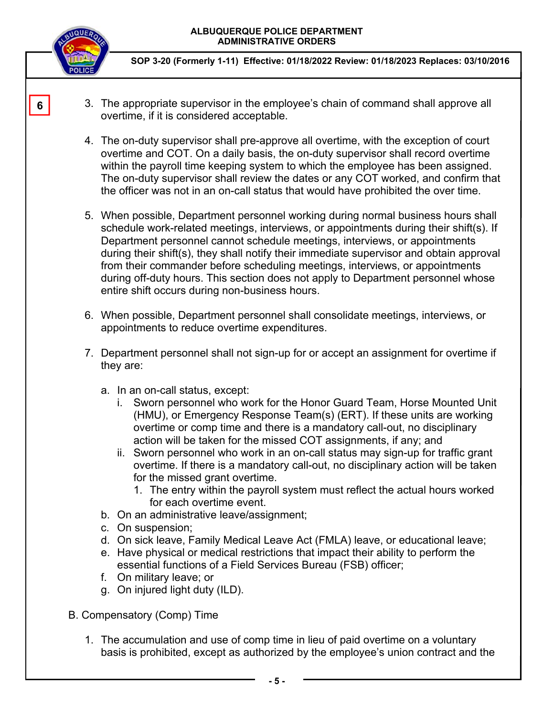

**6** 

- 3. The appropriate supervisor in the employee's chain of command shall approve all overtime, if it is considered acceptable.
- 4. The on-duty supervisor shall pre-approve all overtime, with the exception of court overtime and COT. On a daily basis, the on-duty supervisor shall record overtime within the payroll time keeping system to which the employee has been assigned. The on-duty supervisor shall review the dates or any COT worked, and confirm that the officer was not in an on-call status that would have prohibited the over time.
- 5. When possible, Department personnel working during normal business hours shall schedule work-related meetings, interviews, or appointments during their shift(s). If Department personnel cannot schedule meetings, interviews, or appointments during their shift(s), they shall notify their immediate supervisor and obtain approval from their commander before scheduling meetings, interviews, or appointments during off-duty hours. This section does not apply to Department personnel whose entire shift occurs during non-business hours.
- 6. When possible, Department personnel shall consolidate meetings, interviews, or appointments to reduce overtime expenditures.
- 7. Department personnel shall not sign-up for or accept an assignment for overtime if they are:
	- a. In an on-call status, except:
		- i. Sworn personnel who work for the Honor Guard Team, Horse Mounted Unit (HMU), or Emergency Response Team(s) (ERT). If these units are working overtime or comp time and there is a mandatory call-out, no disciplinary action will be taken for the missed COT assignments, if any; and
		- ii. Sworn personnel who work in an on-call status may sign-up for traffic grant overtime. If there is a mandatory call-out, no disciplinary action will be taken for the missed grant overtime.
			- 1. The entry within the payroll system must reflect the actual hours worked for each overtime event.
	- b. On an administrative leave/assignment;
	- c. On suspension;
	- d. On sick leave, Family Medical Leave Act (FMLA) leave, or educational leave;
	- e. Have physical or medical restrictions that impact their ability to perform the essential functions of a Field Services Bureau (FSB) officer;
	- f. On military leave; or
	- g. On injured light duty (ILD).
- B. Compensatory (Comp) Time
	- 1. The accumulation and use of comp time in lieu of paid overtime on a voluntary basis is prohibited, except as authorized by the employee's union contract and the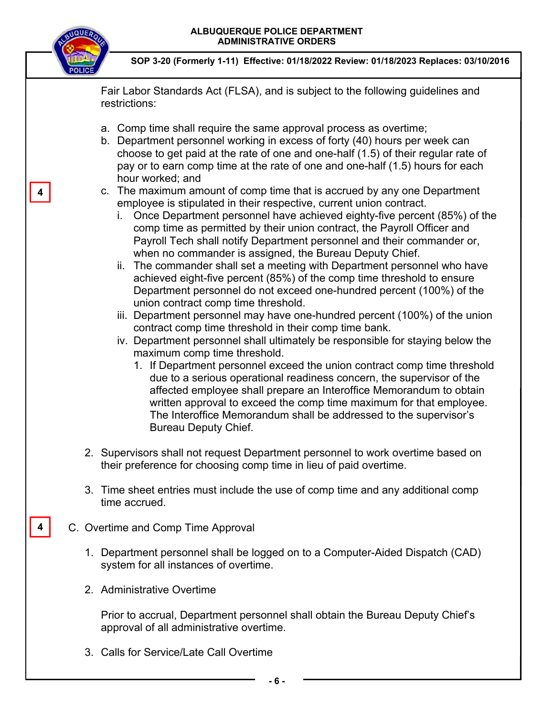

**4** 

**4** 

**SOP 3-20 (Formerly 1-11) Effective: 01/18/2022 Review: 01/18/2023 Replaces: 03/10/2016**

Fair Labor Standards Act (FLSA), and is subject to the following guidelines and restrictions:

- a. Comp time shall require the same approval process as overtime;
- b. Department personnel working in excess of forty (40) hours per week can choose to get paid at the rate of one and one-half (1.5) of their regular rate of pay or to earn comp time at the rate of one and one-half (1.5) hours for each hour worked; and
- c. The maximum amount of comp time that is accrued by any one Department employee is stipulated in their respective, current union contract.
	- i. Once Department personnel have achieved eighty-five percent (85%) of the comp time as permitted by their union contract, the Payroll Officer and Payroll Tech shall notify Department personnel and their commander or, when no commander is assigned, the Bureau Deputy Chief.
	- ii. The commander shall set a meeting with Department personnel who have achieved eight-five percent (85%) of the comp time threshold to ensure Department personnel do not exceed one-hundred percent (100%) of the union contract comp time threshold.
	- iii. Department personnel may have one-hundred percent (100%) of the union contract comp time threshold in their comp time bank.
	- iv. Department personnel shall ultimately be responsible for staying below the maximum comp time threshold.
		- 1. If Department personnel exceed the union contract comp time threshold due to a serious operational readiness concern, the supervisor of the affected employee shall prepare an Interoffice Memorandum to obtain written approval to exceed the comp time maximum for that employee. The Interoffice Memorandum shall be addressed to the supervisor's Bureau Deputy Chief.
- 2. Supervisors shall not request Department personnel to work overtime based on their preference for choosing comp time in lieu of paid overtime.
- 3. Time sheet entries must include the use of comp time and any additional comp time accrued.
- C. Overtime and Comp Time Approval
	- 1. Department personnel shall be logged on to a Computer-Aided Dispatch (CAD) system for all instances of overtime.
	- 2. Administrative Overtime

Prior to accrual, Department personnel shall obtain the Bureau Deputy Chief's approval of all administrative overtime.

3. Calls for Service/Late Call Overtime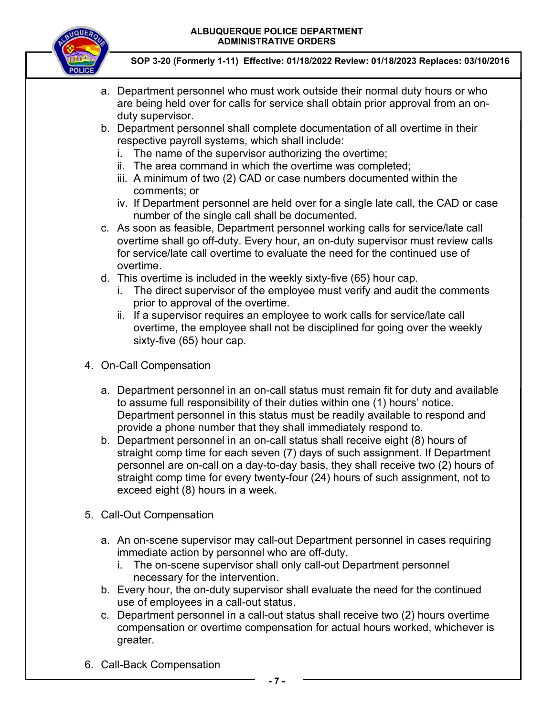

- a. Department personnel who must work outside their normal duty hours or who are being held over for calls for service shall obtain prior approval from an onduty supervisor.
- b. Department personnel shall complete documentation of all overtime in their respective payroll systems, which shall include:
	- i. The name of the supervisor authorizing the overtime;
	- ii. The area command in which the overtime was completed;
	- iii. A minimum of two (2) CAD or case numbers documented within the comments; or
	- iv. If Department personnel are held over for a single late call, the CAD or case number of the single call shall be documented.
- c. As soon as feasible, Department personnel working calls for service/late call overtime shall go off-duty. Every hour, an on-duty supervisor must review calls for service/late call overtime to evaluate the need for the continued use of overtime.
- d. This overtime is included in the weekly sixty-five (65) hour cap.
	- i. The direct supervisor of the employee must verify and audit the comments prior to approval of the overtime.
	- ii. If a supervisor requires an employee to work calls for service/late call overtime, the employee shall not be disciplined for going over the weekly sixty-five (65) hour cap.
- 4. On-Call Compensation
	- a. Department personnel in an on-call status must remain fit for duty and available to assume full responsibility of their duties within one (1) hours' notice. Department personnel in this status must be readily available to respond and provide a phone number that they shall immediately respond to.
	- b. Department personnel in an on-call status shall receive eight (8) hours of straight comp time for each seven (7) days of such assignment. If Department personnel are on-call on a day-to-day basis, they shall receive two (2) hours of straight comp time for every twenty-four (24) hours of such assignment, not to exceed eight (8) hours in a week.
- 5. Call-Out Compensation
	- a. An on-scene supervisor may call-out Department personnel in cases requiring immediate action by personnel who are off-duty.
		- i. The on-scene supervisor shall only call-out Department personnel necessary for the intervention.
	- b. Every hour, the on-duty supervisor shall evaluate the need for the continued use of employees in a call-out status.
	- c. Department personnel in a call-out status shall receive two (2) hours overtime compensation or overtime compensation for actual hours worked, whichever is greater.
- 6. Call-Back Compensation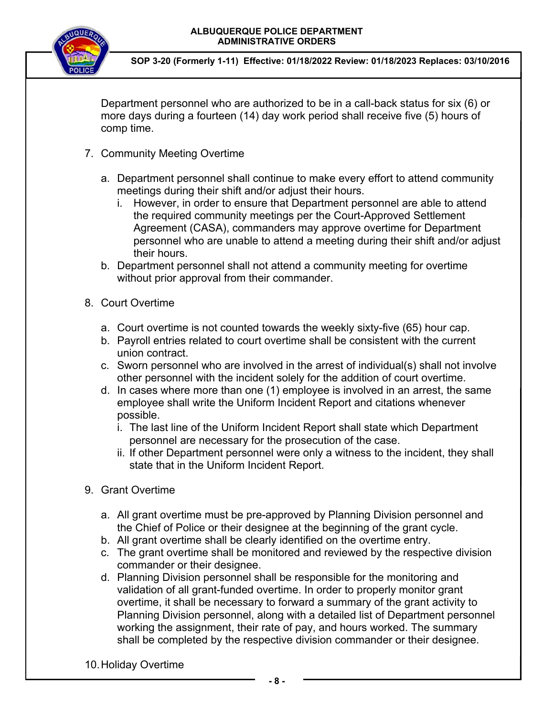

**SOP 3-20 (Formerly 1-11) Effective: 01/18/2022 Review: 01/18/2023 Replaces: 03/10/2016**

Department personnel who are authorized to be in a call-back status for six (6) or more days during a fourteen (14) day work period shall receive five (5) hours of comp time.

- 7. Community Meeting Overtime
	- a. Department personnel shall continue to make every effort to attend community meetings during their shift and/or adjust their hours.
		- i. However, in order to ensure that Department personnel are able to attend the required community meetings per the Court-Approved Settlement Agreement (CASA), commanders may approve overtime for Department personnel who are unable to attend a meeting during their shift and/or adjust their hours.
	- b. Department personnel shall not attend a community meeting for overtime without prior approval from their commander.
- 8. Court Overtime
	- a. Court overtime is not counted towards the weekly sixty-five (65) hour cap.
	- b. Payroll entries related to court overtime shall be consistent with the current union contract.
	- c. Sworn personnel who are involved in the arrest of individual(s) shall not involve other personnel with the incident solely for the addition of court overtime.
	- d. In cases where more than one (1) employee is involved in an arrest, the same employee shall write the Uniform Incident Report and citations whenever possible.
		- i. The last line of the Uniform Incident Report shall state which Department personnel are necessary for the prosecution of the case.
		- ii. If other Department personnel were only a witness to the incident, they shall state that in the Uniform Incident Report.
- 9. Grant Overtime
	- a. All grant overtime must be pre-approved by Planning Division personnel and the Chief of Police or their designee at the beginning of the grant cycle.
	- b. All grant overtime shall be clearly identified on the overtime entry.
	- c. The grant overtime shall be monitored and reviewed by the respective division commander or their designee.
	- d. Planning Division personnel shall be responsible for the monitoring and validation of all grant-funded overtime. In order to properly monitor grant overtime, it shall be necessary to forward a summary of the grant activity to Planning Division personnel, along with a detailed list of Department personnel working the assignment, their rate of pay, and hours worked. The summary shall be completed by the respective division commander or their designee.

10. Holiday Overtime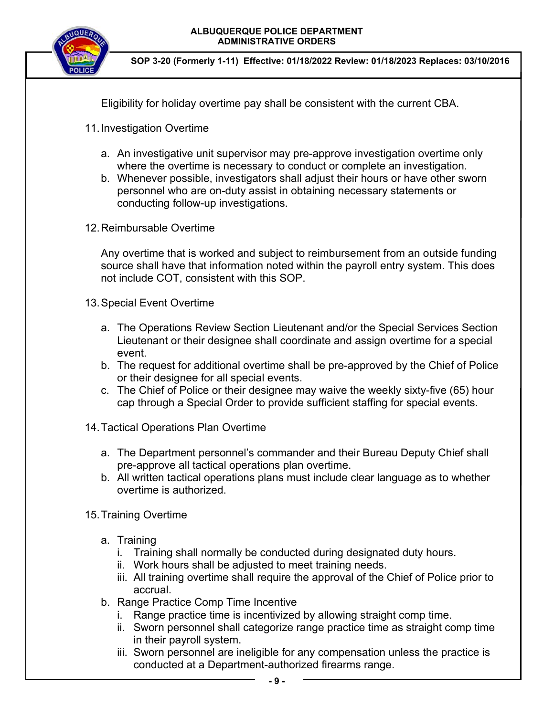

**SOP 3-20 (Formerly 1-11) Effective: 01/18/2022 Review: 01/18/2023 Replaces: 03/10/2016**

Eligibility for holiday overtime pay shall be consistent with the current CBA.

- 11. Investigation Overtime
	- a. An investigative unit supervisor may pre-approve investigation overtime only where the overtime is necessary to conduct or complete an investigation.
	- b. Whenever possible, investigators shall adjust their hours or have other sworn personnel who are on-duty assist in obtaining necessary statements or conducting follow-up investigations.
- 12. Reimbursable Overtime

Any overtime that is worked and subject to reimbursement from an outside funding source shall have that information noted within the payroll entry system. This does not include COT, consistent with this SOP.

- 13. Special Event Overtime
	- a. The Operations Review Section Lieutenant and/or the Special Services Section Lieutenant or their designee shall coordinate and assign overtime for a special event.
	- b. The request for additional overtime shall be pre-approved by the Chief of Police or their designee for all special events.
	- c. The Chief of Police or their designee may waive the weekly sixty-five (65) hour cap through a Special Order to provide sufficient staffing for special events.
- 14. Tactical Operations Plan Overtime
	- a. The Department personnel's commander and their Bureau Deputy Chief shall pre-approve all tactical operations plan overtime.
	- b. All written tactical operations plans must include clear language as to whether overtime is authorized.
- 15. Training Overtime
	- a. Training
		- i. Training shall normally be conducted during designated duty hours.
		- ii. Work hours shall be adjusted to meet training needs.
		- iii. All training overtime shall require the approval of the Chief of Police prior to accrual.
	- b. Range Practice Comp Time Incentive
		- i. Range practice time is incentivized by allowing straight comp time.
		- ii. Sworn personnel shall categorize range practice time as straight comp time in their payroll system.
		- iii. Sworn personnel are ineligible for any compensation unless the practice is conducted at a Department-authorized firearms range.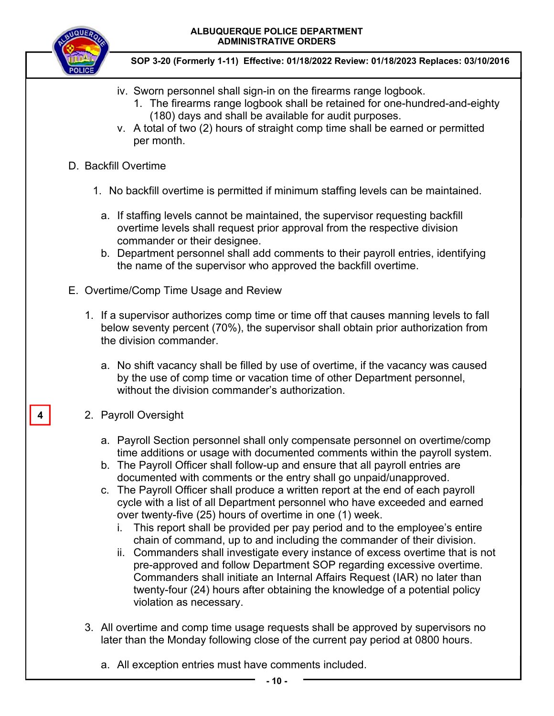

**SOP 3-20 (Formerly 1-11) Effective: 01/18/2022 Review: 01/18/2023 Replaces: 03/10/2016**

- iv. Sworn personnel shall sign-in on the firearms range logbook.
	- 1. The firearms range logbook shall be retained for one-hundred-and-eighty (180) days and shall be available for audit purposes.
- v. A total of two (2) hours of straight comp time shall be earned or permitted per month.
- D. Backfill Overtime
	- 1. No backfill overtime is permitted if minimum staffing levels can be maintained.
		- a. If staffing levels cannot be maintained, the supervisor requesting backfill overtime levels shall request prior approval from the respective division commander or their designee.
		- b. Department personnel shall add comments to their payroll entries, identifying the name of the supervisor who approved the backfill overtime.
- E. Overtime/Comp Time Usage and Review
	- 1. If a supervisor authorizes comp time or time off that causes manning levels to fall below seventy percent (70%), the supervisor shall obtain prior authorization from the division commander.
		- a. No shift vacancy shall be filled by use of overtime, if the vacancy was caused by the use of comp time or vacation time of other Department personnel, without the division commander's authorization.

## 2. Payroll Oversight

**4** 

- a. Payroll Section personnel shall only compensate personnel on overtime/comp time additions or usage with documented comments within the payroll system.
- b. The Payroll Officer shall follow-up and ensure that all payroll entries are documented with comments or the entry shall go unpaid/unapproved.
- c. The Payroll Officer shall produce a written report at the end of each payroll cycle with a list of all Department personnel who have exceeded and earned over twenty-five (25) hours of overtime in one (1) week.
	- i. This report shall be provided per pay period and to the employee's entire chain of command, up to and including the commander of their division.
	- ii. Commanders shall investigate every instance of excess overtime that is not pre-approved and follow Department SOP regarding excessive overtime. Commanders shall initiate an Internal Affairs Request (IAR) no later than twenty-four (24) hours after obtaining the knowledge of a potential policy violation as necessary.
- 3. All overtime and comp time usage requests shall be approved by supervisors no later than the Monday following close of the current pay period at 0800 hours.
	- a. All exception entries must have comments included.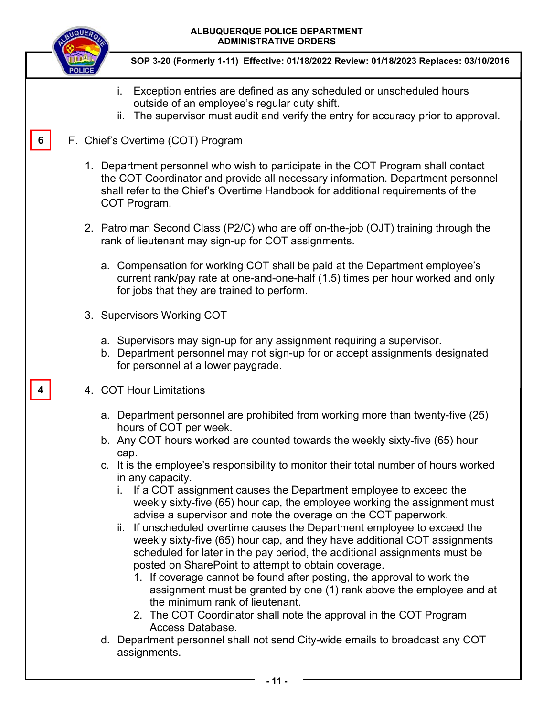|   | ALBUQUERQUE POLICE DEPARTMENT<br><b>ADMINISTRATIVE ORDERS</b>                                                                                                                                                                                                                                                                                                                                                                                                                                                                                                                                                                                                                                                                                                                                                                                                                                                                                                                             |
|---|-------------------------------------------------------------------------------------------------------------------------------------------------------------------------------------------------------------------------------------------------------------------------------------------------------------------------------------------------------------------------------------------------------------------------------------------------------------------------------------------------------------------------------------------------------------------------------------------------------------------------------------------------------------------------------------------------------------------------------------------------------------------------------------------------------------------------------------------------------------------------------------------------------------------------------------------------------------------------------------------|
|   | SOP 3-20 (Formerly 1-11) Effective: 01/18/2022 Review: 01/18/2023 Replaces: 03/10/2016                                                                                                                                                                                                                                                                                                                                                                                                                                                                                                                                                                                                                                                                                                                                                                                                                                                                                                    |
|   | Exception entries are defined as any scheduled or unscheduled hours<br>i.<br>outside of an employee's regular duty shift.<br>ii. The supervisor must audit and verify the entry for accuracy prior to approval.                                                                                                                                                                                                                                                                                                                                                                                                                                                                                                                                                                                                                                                                                                                                                                           |
| 6 | F. Chief's Overtime (COT) Program                                                                                                                                                                                                                                                                                                                                                                                                                                                                                                                                                                                                                                                                                                                                                                                                                                                                                                                                                         |
|   | 1. Department personnel who wish to participate in the COT Program shall contact<br>the COT Coordinator and provide all necessary information. Department personnel<br>shall refer to the Chief's Overtime Handbook for additional requirements of the<br>COT Program.                                                                                                                                                                                                                                                                                                                                                                                                                                                                                                                                                                                                                                                                                                                    |
|   | 2. Patrolman Second Class (P2/C) who are off on-the-job (OJT) training through the<br>rank of lieutenant may sign-up for COT assignments.                                                                                                                                                                                                                                                                                                                                                                                                                                                                                                                                                                                                                                                                                                                                                                                                                                                 |
|   | a. Compensation for working COT shall be paid at the Department employee's<br>current rank/pay rate at one-and-one-half (1.5) times per hour worked and only<br>for jobs that they are trained to perform.                                                                                                                                                                                                                                                                                                                                                                                                                                                                                                                                                                                                                                                                                                                                                                                |
|   | 3. Supervisors Working COT                                                                                                                                                                                                                                                                                                                                                                                                                                                                                                                                                                                                                                                                                                                                                                                                                                                                                                                                                                |
|   | a. Supervisors may sign-up for any assignment requiring a supervisor.<br>b. Department personnel may not sign-up for or accept assignments designated<br>for personnel at a lower paygrade.                                                                                                                                                                                                                                                                                                                                                                                                                                                                                                                                                                                                                                                                                                                                                                                               |
|   | 4. COT Hour Limitations                                                                                                                                                                                                                                                                                                                                                                                                                                                                                                                                                                                                                                                                                                                                                                                                                                                                                                                                                                   |
|   | a. Department personnel are prohibited from working more than twenty-five (25)<br>hours of COT per week.                                                                                                                                                                                                                                                                                                                                                                                                                                                                                                                                                                                                                                                                                                                                                                                                                                                                                  |
|   | b. Any COT hours worked are counted towards the weekly sixty-five (65) hour<br>cap.                                                                                                                                                                                                                                                                                                                                                                                                                                                                                                                                                                                                                                                                                                                                                                                                                                                                                                       |
|   | c. It is the employee's responsibility to monitor their total number of hours worked<br>in any capacity.<br>i. If a COT assignment causes the Department employee to exceed the<br>weekly sixty-five (65) hour cap, the employee working the assignment must<br>advise a supervisor and note the overage on the COT paperwork.<br>ii. If unscheduled overtime causes the Department employee to exceed the<br>weekly sixty-five (65) hour cap, and they have additional COT assignments<br>scheduled for later in the pay period, the additional assignments must be<br>posted on SharePoint to attempt to obtain coverage.<br>1. If coverage cannot be found after posting, the approval to work the<br>assignment must be granted by one (1) rank above the employee and at<br>the minimum rank of lieutenant.<br>2. The COT Coordinator shall note the approval in the COT Program<br>Access Database.<br>d. Department personnel shall not send City-wide emails to broadcast any COT |
|   | assignments.                                                                                                                                                                                                                                                                                                                                                                                                                                                                                                                                                                                                                                                                                                                                                                                                                                                                                                                                                                              |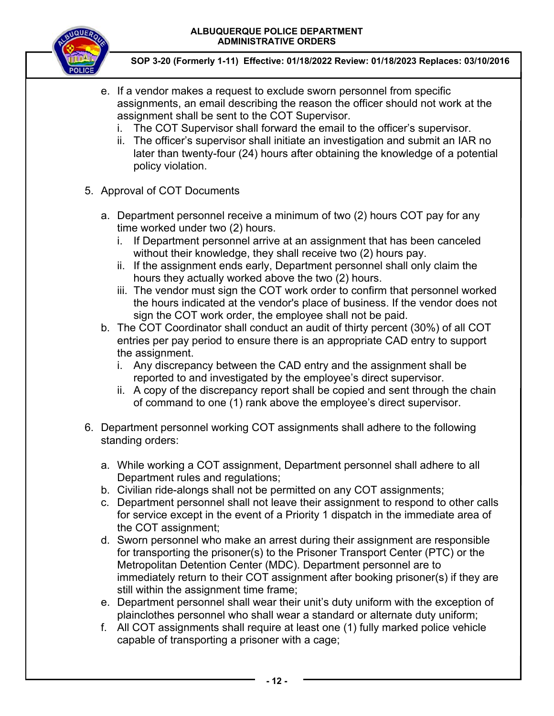

- e. If a vendor makes a request to exclude sworn personnel from specific assignments, an email describing the reason the officer should not work at the assignment shall be sent to the COT Supervisor.
	- i. The COT Supervisor shall forward the email to the officer's supervisor.
	- ii. The officer's supervisor shall initiate an investigation and submit an IAR no later than twenty-four (24) hours after obtaining the knowledge of a potential policy violation.
- 5. Approval of COT Documents
	- a. Department personnel receive a minimum of two (2) hours COT pay for any time worked under two (2) hours.
		- i. If Department personnel arrive at an assignment that has been canceled without their knowledge, they shall receive two (2) hours pay.
		- ii. If the assignment ends early, Department personnel shall only claim the hours they actually worked above the two (2) hours.
		- iii. The vendor must sign the COT work order to confirm that personnel worked the hours indicated at the vendor's place of business. If the vendor does not sign the COT work order, the employee shall not be paid.
	- b. The COT Coordinator shall conduct an audit of thirty percent (30%) of all COT entries per pay period to ensure there is an appropriate CAD entry to support the assignment.
		- i. Any discrepancy between the CAD entry and the assignment shall be reported to and investigated by the employee's direct supervisor.
		- ii. A copy of the discrepancy report shall be copied and sent through the chain of command to one (1) rank above the employee's direct supervisor.
- 6. Department personnel working COT assignments shall adhere to the following standing orders:
	- a. While working a COT assignment, Department personnel shall adhere to all Department rules and regulations;
	- b. Civilian ride-alongs shall not be permitted on any COT assignments;
	- c. Department personnel shall not leave their assignment to respond to other calls for service except in the event of a Priority 1 dispatch in the immediate area of the COT assignment;
	- d. Sworn personnel who make an arrest during their assignment are responsible for transporting the prisoner(s) to the Prisoner Transport Center (PTC) or the Metropolitan Detention Center (MDC). Department personnel are to immediately return to their COT assignment after booking prisoner(s) if they are still within the assignment time frame;
	- e. Department personnel shall wear their unit's duty uniform with the exception of plainclothes personnel who shall wear a standard or alternate duty uniform;
	- f. All COT assignments shall require at least one (1) fully marked police vehicle capable of transporting a prisoner with a cage;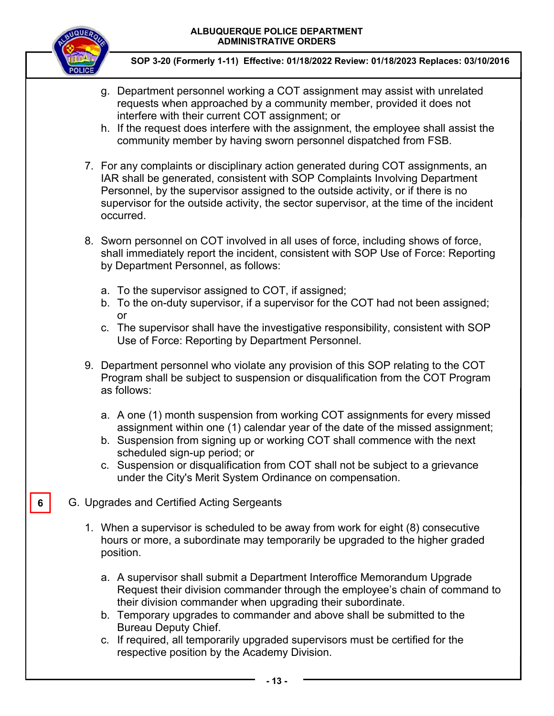

**6** 

- g. Department personnel working a COT assignment may assist with unrelated requests when approached by a community member, provided it does not interfere with their current COT assignment; or
- h. If the request does interfere with the assignment, the employee shall assist the community member by having sworn personnel dispatched from FSB.
- 7. For any complaints or disciplinary action generated during COT assignments, an IAR shall be generated, consistent with SOP Complaints Involving Department Personnel, by the supervisor assigned to the outside activity, or if there is no supervisor for the outside activity, the sector supervisor, at the time of the incident occurred.
- 8. Sworn personnel on COT involved in all uses of force, including shows of force, shall immediately report the incident, consistent with SOP Use of Force: Reporting by Department Personnel, as follows:
	- a. To the supervisor assigned to COT, if assigned;
	- b. To the on-duty supervisor, if a supervisor for the COT had not been assigned; or
	- c. The supervisor shall have the investigative responsibility, consistent with SOP Use of Force: Reporting by Department Personnel.
- 9. Department personnel who violate any provision of this SOP relating to the COT Program shall be subject to suspension or disqualification from the COT Program as follows:
	- a. A one (1) month suspension from working COT assignments for every missed assignment within one (1) calendar year of the date of the missed assignment;
	- b. Suspension from signing up or working COT shall commence with the next scheduled sign-up period; or
	- c. Suspension or disqualification from COT shall not be subject to a grievance under the City's Merit System Ordinance on compensation.
- G. Upgrades and Certified Acting Sergeants
	- 1. When a supervisor is scheduled to be away from work for eight (8) consecutive hours or more, a subordinate may temporarily be upgraded to the higher graded position.
		- a. A supervisor shall submit a Department Interoffice Memorandum Upgrade Request their division commander through the employee's chain of command to their division commander when upgrading their subordinate.
		- b. Temporary upgrades to commander and above shall be submitted to the Bureau Deputy Chief.
		- c. If required, all temporarily upgraded supervisors must be certified for the respective position by the Academy Division.